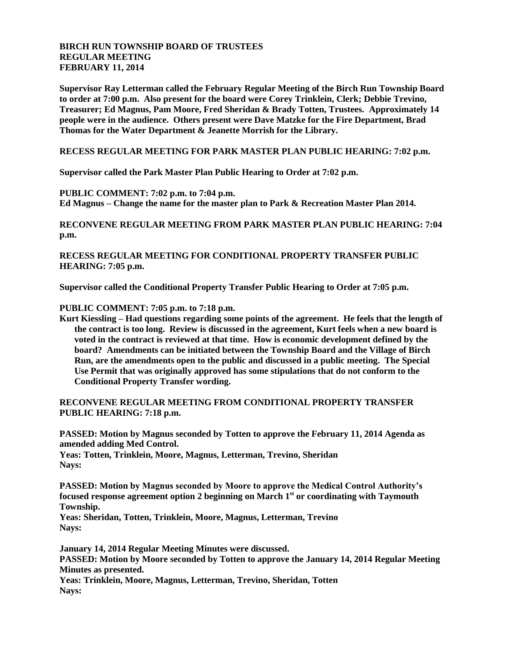## **BIRCH RUN TOWNSHIP BOARD OF TRUSTEES REGULAR MEETING FEBRUARY 11, 2014**

**Supervisor Ray Letterman called the February Regular Meeting of the Birch Run Township Board to order at 7:00 p.m. Also present for the board were Corey Trinklein, Clerk; Debbie Trevino, Treasurer; Ed Magnus, Pam Moore, Fred Sheridan & Brady Totten, Trustees. Approximately 14 people were in the audience. Others present were Dave Matzke for the Fire Department, Brad Thomas for the Water Department & Jeanette Morrish for the Library.**

**RECESS REGULAR MEETING FOR PARK MASTER PLAN PUBLIC HEARING: 7:02 p.m.**

**Supervisor called the Park Master Plan Public Hearing to Order at 7:02 p.m.**

**PUBLIC COMMENT: 7:02 p.m. to 7:04 p.m.**

**Ed Magnus – Change the name for the master plan to Park & Recreation Master Plan 2014.**

**RECONVENE REGULAR MEETING FROM PARK MASTER PLAN PUBLIC HEARING: 7:04 p.m.**

**RECESS REGULAR MEETING FOR CONDITIONAL PROPERTY TRANSFER PUBLIC HEARING: 7:05 p.m.**

**Supervisor called the Conditional Property Transfer Public Hearing to Order at 7:05 p.m.**

**PUBLIC COMMENT: 7:05 p.m. to 7:18 p.m.**

**Kurt Kiessling – Had questions regarding some points of the agreement. He feels that the length of the contract is too long. Review is discussed in the agreement, Kurt feels when a new board is voted in the contract is reviewed at that time. How is economic development defined by the board? Amendments can be initiated between the Township Board and the Village of Birch Run, are the amendments open to the public and discussed in a public meeting. The Special Use Permit that was originally approved has some stipulations that do not conform to the Conditional Property Transfer wording.**

**RECONVENE REGULAR MEETING FROM CONDITIONAL PROPERTY TRANSFER PUBLIC HEARING: 7:18 p.m.**

**PASSED: Motion by Magnus seconded by Totten to approve the February 11, 2014 Agenda as amended adding Med Control.**

**Yeas: Totten, Trinklein, Moore, Magnus, Letterman, Trevino, Sheridan Nays:**

**PASSED: Motion by Magnus seconded by Moore to approve the Medical Control Authority's focused response agreement option 2 beginning on March 1 st or coordinating with Taymouth Township.**

**Yeas: Sheridan, Totten, Trinklein, Moore, Magnus, Letterman, Trevino Nays:**

**January 14, 2014 Regular Meeting Minutes were discussed. PASSED: Motion by Moore seconded by Totten to approve the January 14, 2014 Regular Meeting Minutes as presented. Yeas: Trinklein, Moore, Magnus, Letterman, Trevino, Sheridan, Totten Nays:**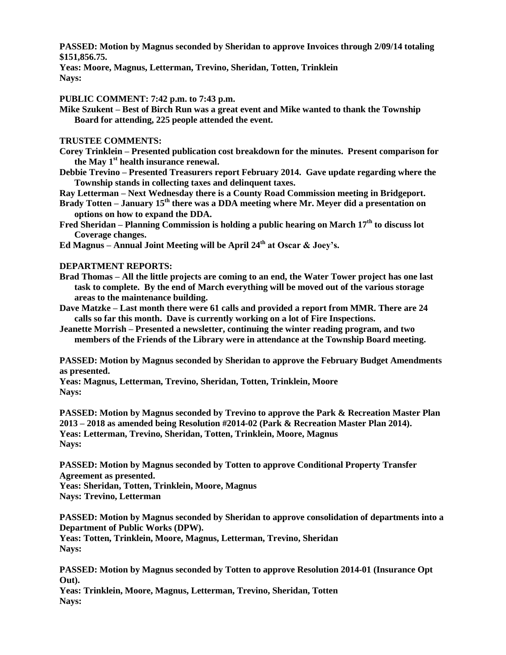**PASSED: Motion by Magnus seconded by Sheridan to approve Invoices through 2/09/14 totaling \$151,856.75.**

**Yeas: Moore, Magnus, Letterman, Trevino, Sheridan, Totten, Trinklein Nays:**

**PUBLIC COMMENT: 7:42 p.m. to 7:43 p.m.**

**Mike Szukent – Best of Birch Run was a great event and Mike wanted to thank the Township Board for attending, 225 people attended the event.**

**TRUSTEE COMMENTS:**

**Corey Trinklein – Presented publication cost breakdown for the minutes. Present comparison for the May 1 st health insurance renewal.**

**Debbie Trevino – Presented Treasurers report February 2014. Gave update regarding where the Township stands in collecting taxes and delinquent taxes.**

**Ray Letterman – Next Wednesday there is a County Road Commission meeting in Bridgeport.**

**Brady Totten – January 15th there was a DDA meeting where Mr. Meyer did a presentation on options on how to expand the DDA.**

**Fred Sheridan – Planning Commission is holding a public hearing on March 17th to discuss lot Coverage changes.**

**Ed Magnus – Annual Joint Meeting will be April 24th at Oscar & Joey's.**

**DEPARTMENT REPORTS:**

- **Brad Thomas – All the little projects are coming to an end, the Water Tower project has one last task to complete. By the end of March everything will be moved out of the various storage areas to the maintenance building.**
- **Dave Matzke – Last month there were 61 calls and provided a report from MMR. There are 24 calls so far this month. Dave is currently working on a lot of Fire Inspections.**
- **Jeanette Morrish – Presented a newsletter, continuing the winter reading program, and two members of the Friends of the Library were in attendance at the Township Board meeting.**

**PASSED: Motion by Magnus seconded by Sheridan to approve the February Budget Amendments as presented.**

**Yeas: Magnus, Letterman, Trevino, Sheridan, Totten, Trinklein, Moore Nays:**

**PASSED: Motion by Magnus seconded by Trevino to approve the Park & Recreation Master Plan 2013 – 2018 as amended being Resolution #2014-02 (Park & Recreation Master Plan 2014). Yeas: Letterman, Trevino, Sheridan, Totten, Trinklein, Moore, Magnus Nays:**

**PASSED: Motion by Magnus seconded by Totten to approve Conditional Property Transfer Agreement as presented.**

**Yeas: Sheridan, Totten, Trinklein, Moore, Magnus**

**Nays: Trevino, Letterman**

**PASSED: Motion by Magnus seconded by Sheridan to approve consolidation of departments into a Department of Public Works (DPW).**

**Yeas: Totten, Trinklein, Moore, Magnus, Letterman, Trevino, Sheridan Nays:**

**PASSED: Motion by Magnus seconded by Totten to approve Resolution 2014-01 (Insurance Opt Out).**

**Yeas: Trinklein, Moore, Magnus, Letterman, Trevino, Sheridan, Totten Nays:**